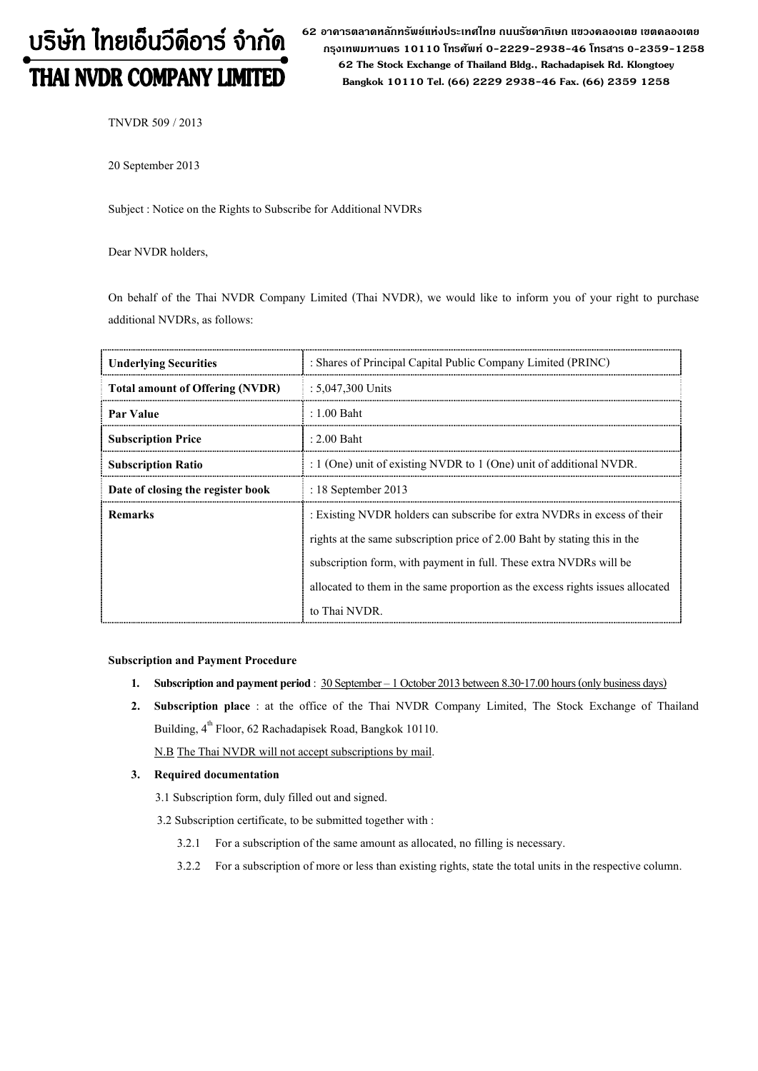# บริษัท ไทยเอ็นวีดีอาร์ จำกัด THAI NVDR COMPANY LIMITED

62 อาดารตลาดหลักทรัพย์แห่งประเทศไทย ถนนรัซดาภิเษก แขวงดลองเตย เขตดลองเตย  **ก"# 10110 & 0-2229-2938-46 &, 0-2359-1258 62 The Stock Exchange of Thailand Bldg., Rachadapisek Rd. Klongtoey Bangkok 10110 Tel. (66) 2229 2938-46 Fax. (66) 2359 1258**

TNVDR 509 / 2013

20 September 2013

Subject : Notice on the Rights to Subscribe for Additional NVDRs

Dear NVDR holders,

On behalf of the Thai NVDR Company Limited (Thai NVDR), we would like to inform you of your right to purchase additional NVDRs, as follows:

| <b>Underlying Securities</b>           | : Shares of Principal Capital Public Company Limited (PRINC)                                                                                                                                                                                                                                                                   |  |  |
|----------------------------------------|--------------------------------------------------------------------------------------------------------------------------------------------------------------------------------------------------------------------------------------------------------------------------------------------------------------------------------|--|--|
| <b>Total amount of Offering (NVDR)</b> | $: 5.047,300$ Units                                                                                                                                                                                                                                                                                                            |  |  |
| Par Value                              | $: 1.00$ Baht                                                                                                                                                                                                                                                                                                                  |  |  |
| <b>Subscription Price</b>              | $: 2.00$ Baht                                                                                                                                                                                                                                                                                                                  |  |  |
| <b>Subscription Ratio</b>              | : 1 (One) unit of existing NVDR to 1 (One) unit of additional NVDR.                                                                                                                                                                                                                                                            |  |  |
| Date of closing the register book      | $: 18$ September 2013                                                                                                                                                                                                                                                                                                          |  |  |
| <b>Remarks</b>                         | : Existing NVDR holders can subscribe for extra NVDRs in excess of their<br>rights at the same subscription price of 2.00 Baht by stating this in the<br>subscription form, with payment in full. These extra NVDRs will be<br>allocated to them in the same proportion as the excess rights issues allocated<br>to Thai NVDR. |  |  |

#### **Subscription and Payment Procedure**

- **1. Subscription and payment period** :  $30$  September 1 October 2013 between 8.30-17.00 hours (only business days)
- **2. Subscription place** : at the office of the Thai NVDR Company Limited, The Stock Exchange of Thailand Building, 4<sup>th</sup> Floor, 62 Rachadapisek Road, Bangkok 10110.

N.B The Thai NVDR will not accept subscriptions by mail.

### **3. Required documentation**

3.1 Subscription form, duly filled out and signed.

- 3.2 Subscription certificate, to be submitted together with :
	- 3.2.1 For a subscription of the same amount as allocated, no filling is necessary.
	- 3.2.2 For a subscription of more or less than existing rights, state the total units in the respective column.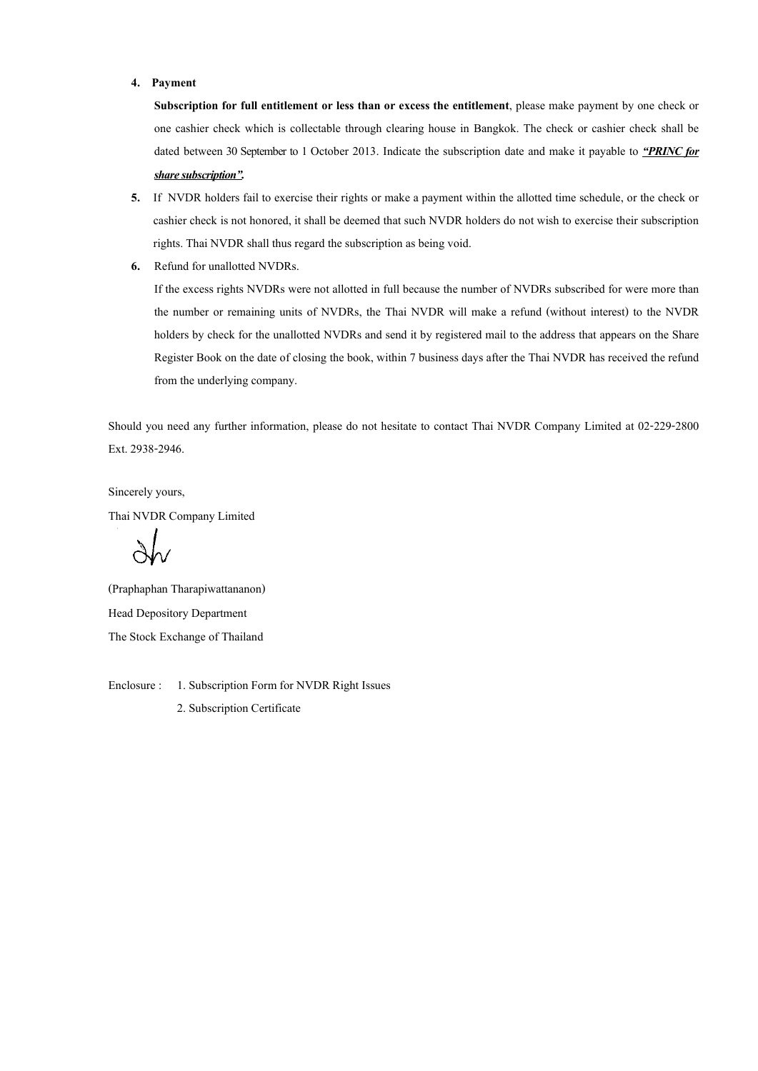#### **4. Payment**

**Subscription for full entitlement or less than or excess the entitlement**, please make payment by one check or one cashier check which is collectable through clearing house in Bangkok. The check or cashier check shall be dated between 30 September to 1 October 2013. Indicate the subscription date and make it payable to *PRINC for share subscription.* 

- **5.** If NVDR holders fail to exercise their rights or make a payment within the allotted time schedule, or the check or cashier check is not honored, it shall be deemed that such NVDR holders do not wish to exercise their subscription rights. Thai NVDR shall thus regard the subscription as being void.
- **6.** Refund for unallotted NVDRs.

If the excess rights NVDRs were not allotted in full because the number of NVDRs subscribed for were more than the number or remaining units of NVDRs, the Thai NVDR will make a refund (without interest) to the NVDR holders by check for the unallotted NVDRs and send it by registered mail to the address that appears on the Share Register Book on the date of closing the book, within 7 business days after the Thai NVDR has received the refund from the underlying company.

Should you need any further information, please do not hesitate to contact Thai NVDR Company Limited at 02-229-2800 Ext. 2938-2946.

Sincerely yours, Thai NVDR Company Limited

(Praphaphan Tharapiwattananon) Head Depository Department The Stock Exchange of Thailand

Enclosure : 1. Subscription Form for NVDR Right Issues 2. Subscription Certificate